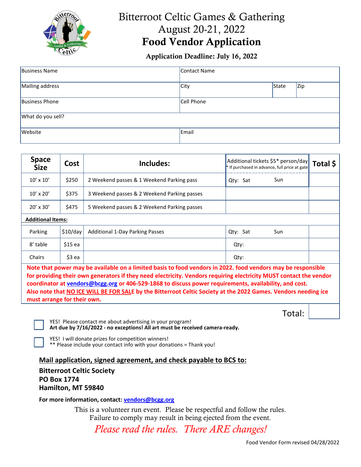

# Bitterroot Celtic Games & Gathering August 20-21, 2022 Food Vendor Application

#### Application Deadline: July 16, 2022

| <b>Business Name</b>  | Contact Name |       |     |  |  |
|-----------------------|--------------|-------|-----|--|--|
| Mailing address       | <b>City</b>  | State | Zip |  |  |
| <b>Business Phone</b> | Cell Phone   |       |     |  |  |
| What do you sell?     |              |       |     |  |  |
| Website               | Email        |       |     |  |  |

| <b>Space</b><br><b>Size</b>                                                                                                                                                                                                     | Cost     | Includes:                                   | Additional tickets \$5* person/day<br>* If purchased in advance, full price at gate | Total \$ |  |
|---------------------------------------------------------------------------------------------------------------------------------------------------------------------------------------------------------------------------------|----------|---------------------------------------------|-------------------------------------------------------------------------------------|----------|--|
| $10' \times 10'$                                                                                                                                                                                                                | \$250    | 2 Weekend passes & 1 Weekend Parking pass   | Sun<br>Qty: Sat                                                                     |          |  |
| $10' \times 20'$                                                                                                                                                                                                                | \$375    | 3 Weekend passes & 2 Weekend Parking passes |                                                                                     |          |  |
| $20' \times 30'$                                                                                                                                                                                                                | \$475    | 5 Weekend passes & 2 Weekend Parking passes |                                                                                     |          |  |
| <b>Additional Items:</b>                                                                                                                                                                                                        |          |                                             |                                                                                     |          |  |
| Parking                                                                                                                                                                                                                         | \$10/day | <b>Additional 1-Day Parking Passes</b>      | Qty: Sat<br>Sun                                                                     |          |  |
| 8' table                                                                                                                                                                                                                        | $$15$ ea |                                             | Qty:                                                                                |          |  |
| Chairs                                                                                                                                                                                                                          | \$3 ea   |                                             | Qty:                                                                                |          |  |
| Note that power may be available on a limited basis to food vendors in 2022. food vendors may be responsible<br>a and the state of the state of the state of the state of the state of the state of the state of the state of t |          |                                             |                                                                                     |          |  |

**for providing their own generators if they need electricity. Vendors requiring electricity MUST contact the vendor coordinator a[t vendors@bcgg.org](mailto:vendors@bcgg.org) or 406-529-1868 to discuss power requirements, availability, and cost. Also note that NO ICE WILL BE FOR SALE by the Bitterroot Celtic Society at the 2022 Games. Vendors needing ice must arrange for their own.**

YES! Please contact me about advertising in your program!

**Art due by 7/16/2022 - no exceptions! All art must be received camera-ready.**

YES! I will donate prizes for competition winners!

\*\* Please include your contact info with your donations = Thank you!

**Mail application, signed agreement, and check payable to BCS to:**

**Bitterroot Celtic Society PO Box 1774 Hamilton, MT 59840**

**For more information, contact: [vendors@bcgg.org](mailto:vendors@bcgg.org)**

This is a volunteer run event. Please be respectful and follow the rules. Failure to comply may result in being ejected from the event.

*Please read the rules. There ARE changes!*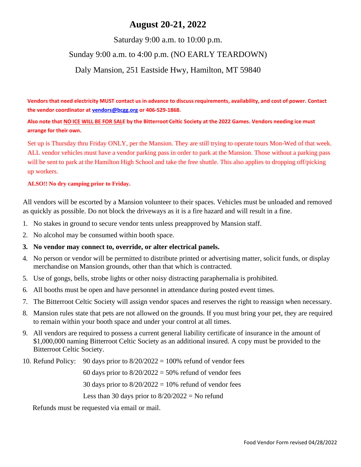## **August 20-21, 2022**

#### Saturday 9:00 a.m. to 10:00 p.m.

## Sunday 9:00 a.m. to 4:00 p.m. (NO EARLY TEARDOWN)

#### Daly Mansion, 251 Eastside Hwy, Hamilton, MT 59840

**Vendors that need electricity MUST contact us in advance to discuss requirements, availability, and cost of power. Contact the vendor coordinator a[t vendors@bcgg.org](mailto:vendors@bcgg.org) or 406-529-1868.**

**Also note that NO ICE WILL BE FOR SALE by the Bitterroot Celtic Society at the 2022 Games. Vendors needing ice must arrange for their own.**

Set up is Thursday thru Friday ONLY, per the Mansion. They are still trying to operate tours Mon-Wed of that week. ALL vendor vehicles must have a vendor parking pass in order to park at the Mansion. Those without a parking pass will be sent to park at the Hamilton High School and take the free shuttle. This also applies to dropping off/picking up workers.

#### **ALSO!! No dry camping prior to Friday.**

All vendors will be escorted by a Mansion volunteer to their spaces. Vehicles must be unloaded and removed as quickly as possible. Do not block the driveways as it is a fire hazard and will result in a fine.

- 1. No stakes in ground to secure vendor tents unless preapproved by Mansion staff.
- 2. No alcohol may be consumed within booth space.

#### **3. No vendor may connect to, override, or alter electrical panels.**

- 4. No person or vendor will be permitted to distribute printed or advertising matter, solicit funds, or display merchandise on Mansion grounds, other than that which is contracted.
- 5. Use of gongs, bells, strobe lights or other noisy distracting paraphernalia is prohibited.
- 6. All booths must be open and have personnel in attendance during posted event times.
- 7. The Bitterroot Celtic Society will assign vendor spaces and reserves the right to reassign when necessary.
- 8. Mansion rules state that pets are not allowed on the grounds. If you must bring your pet, they are required to remain within your booth space and under your control at all times.
- 9. All vendors are required to possess a current general liability certificate of insurance in the amount of \$1,000,000 naming Bitterroot Celtic Society as an additional insured. A copy must be provided to the Bitterroot Celtic Society.
- 10. Refund Policy: 90 days prior to  $8/20/2022 = 100\%$  refund of vendor fees

60 days prior to  $8/20/2022 = 50%$  refund of vendor fees

30 days prior to  $8/20/2022 = 10%$  refund of vendor fees

Less than 30 days prior to  $8/20/2022 =$  No refund

Refunds must be requested via email or mail.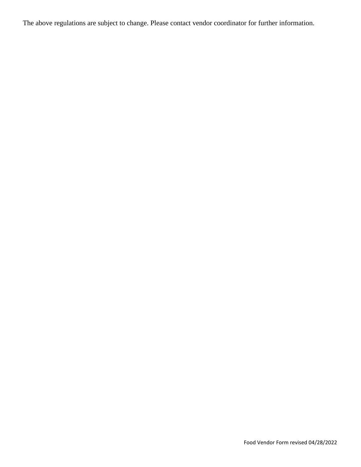The above regulations are subject to change. Please contact vendor coordinator for further information.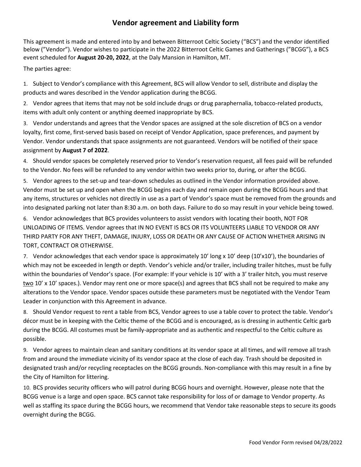#### **Vendor agreement and Liability form**

This agreement is made and entered into by and between Bitterroot Celtic Society ("BCS") and the vendor identified below ("Vendor"). Vendor wishes to participate in the 2022 Bitterroot Celtic Games and Gatherings ("BCGG"), a BCS event scheduled for **August 20-20, 2022**, at the Daly Mansion in Hamilton, MT.

The parties agree:

1. Subject to Vendor's compliance with this Agreement, BCS will allow Vendor to sell, distribute and display the products and wares described in the Vendor application during the BCGG.

2. Vendor agrees that items that may not be sold include drugs or drug paraphernalia, tobacco-related products, items with adult only content or anything deemed inappropriate by BCS.

3. Vendor understands and agrees that the Vendor spaces are assigned at the sole discretion of BCS on a vendor loyalty, first come, first-served basis based on receipt of Vendor Application, space preferences, and payment by Vendor. Vendor understands that space assignments are not guaranteed. Vendors will be notified of their space assignment by **August 7 of 2022**.

4. Should vendor spaces be completely reserved prior to Vendor's reservation request, all fees paid will be refunded to the Vendor. No fees will be refunded to any vendor within two weeks prior to, during, or after the BCGG.

5. Vendor agrees to the set-up and tear-down schedules as outlined in the Vendor information provided above. Vendor must be set up and open when the BCGG begins each day and remain open during the BCGG hours and that any items, structures or vehicles not directly in use as a part of Vendor's space must be removed from the grounds and into designated parking not later than 8:30 a.m. on both days. Failure to do so may result in your vehicle being towed.

6. Vendor acknowledges that BCS provides volunteers to assist vendors with locating their booth, NOT FOR UNLOADING OF ITEMS. Vendor agrees that IN NO EVENT IS BCS OR ITS VOLUNTEERS LIABLE TO VENDOR OR ANY THIRD PARTY FOR ANY THEFT, DAMAGE, INJURY, LOSS OR DEATH OR ANY CAUSE OF ACTION WHETHER ARISING IN TORT, CONTRACT OR OTHERWISE.

7. Vendor acknowledges that each vendor space is approximately 10' long x 10' deep (10'x10'), the boundaries of which may not be exceeded in length or depth. Vendor's vehicle and/or trailer, including trailer hitches, must be fully within the boundaries of Vendor's space. (For example: If your vehicle is 10' with a 3' trailer hitch, you must reserve two 10' x 10' spaces.). Vendor may rent one or more space(s) and agrees that BCS shall not be required to make any alterations to the Vendor space. Vendor spaces outside these parameters must be negotiated with the Vendor Team Leader in conjunction with this Agreement in advance.

8. Should Vendor request to rent a table from BCS, Vendor agrees to use a table cover to protect the table. Vendor's décor must be in keeping with the Celtic theme of the BCGG and is encouraged, as is dressing in authentic Celtic garb during the BCGG. All costumes must be family-appropriate and as authentic and respectful to the Celtic culture as possible.

9. Vendor agrees to maintain clean and sanitary conditions at its vendor space at all times, and will remove all trash from and around the immediate vicinity of its vendor space at the close of each day. Trash should be deposited in designated trash and/or recycling receptacles on the BCGG grounds. Non-compliance with this may result in a fine by the City of Hamilton for littering.

10. BCS provides security officers who will patrol during BCGG hours and overnight. However, please note that the BCGG venue is a large and open space. BCS cannot take responsibility for loss of or damage to Vendor property. As well as staffing its space during the BCGG hours, we recommend that Vendor take reasonable steps to secure its goods overnight during the BCGG.